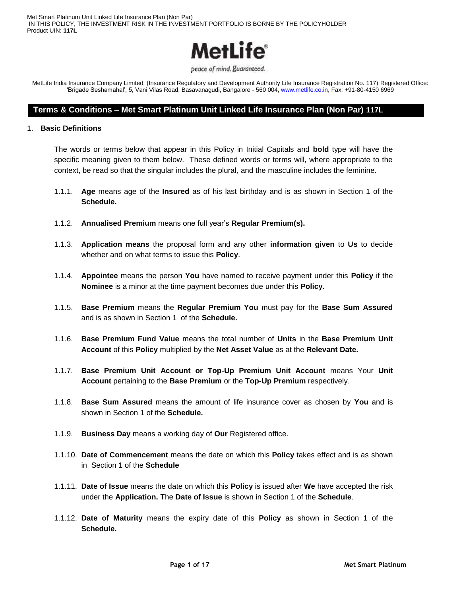

beace of mind. guaranteed.

MetLife India Insurance Company Limited. (Insurance Regulatory and Development Authority Life Insurance Registration No. 117) Registered Office: 'Brigade Seshamahal', 5, Vani Vilas Road, Basavanagudi, Bangalore - 560 004, www.metlife.co.in, Fax: +91-80-4150 6969

## **Terms & Conditions – Met Smart Platinum Unit Linked Life Insurance Plan (Non Par) 117L**

#### 1. **Basic Definitions**

The words or terms below that appear in this Policy in Initial Capitals and **bold** type will have the specific meaning given to them below. These defined words or terms will, where appropriate to the context, be read so that the singular includes the plural, and the masculine includes the feminine.

- 1.1.1. **Age** means age of the **Insured** as of his last birthday and is as shown in Section 1 of the **Schedule.**
- 1.1.2. **Annualised Premium** means one full year's **Regular Premium(s).**
- 1.1.3. **Application means** the proposal form and any other **information given** to **Us** to decide whether and on what terms to issue this **Policy**.
- 1.1.4. **Appointee** means the person **You** have named to receive payment under this **Policy** if the **Nominee** is a minor at the time payment becomes due under this **Policy.**
- 1.1.5. **Base Premium** means the **Regular Premium You** must pay for the **Base Sum Assured** and is as shown in Section 1 of the **Schedule.**
- 1.1.6. **Base Premium Fund Value** means the total number of **Units** in the **Base Premium Unit Account** of this **Policy** multiplied by the **Net Asset Value** as at the **Relevant Date.**
- 1.1.7. **Base Premium Unit Account or Top-Up Premium Unit Account** means Your **Unit Account** pertaining to the **Base Premium** or the **Top-Up Premium** respectively.
- 1.1.8. **Base Sum Assured** means the amount of life insurance cover as chosen by **You** and is shown in Section 1 of the **Schedule.**
- 1.1.9. **Business Day** means a working day of **Our** Registered office.
- 1.1.10. **Date of Commencement** means the date on which this **Policy** takes effect and is as shown in Section 1 of the **Schedule**
- 1.1.11. **Date of Issue** means the date on which this **Policy** is issued after **We** have accepted the risk under the **Application.** The **Date of Issue** is shown in Section 1 of the **Schedule**.
- 1.1.12. **Date of Maturity** means the expiry date of this **Policy** as shown in Section 1 of the **Schedule.**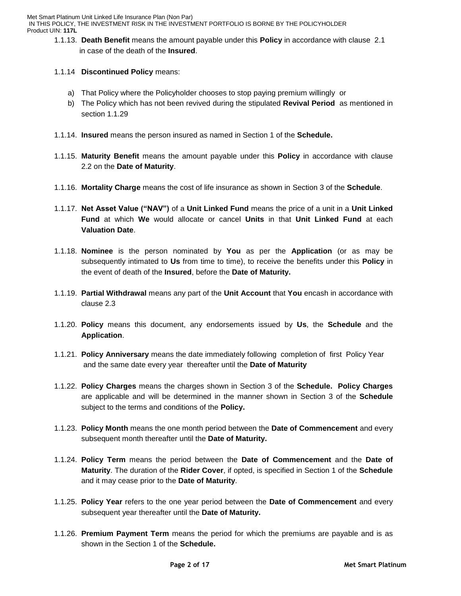1.1.13. **Death Benefit** means the amount payable under this **Policy** in accordance with clause 2.1 in case of the death of the **Insured**.

## 1.1.14 **Discontinued Policy** means:

- a) That Policy where the Policyholder chooses to stop paying premium willingly or
- b) The Policy which has not been revived during the stipulated **Revival Period** as mentioned in section 1.1.29
- 1.1.14. **Insured** means the person insured as named in Section 1 of the **Schedule.**
- 1.1.15. **Maturity Benefit** means the amount payable under this **Policy** in accordance with clause 2.2 on the **Date of Maturity**.
- 1.1.16. **Mortality Charge** means the cost of life insurance as shown in Section 3 of the **Schedule**.
- 1.1.17. **Net Asset Value ("NAV")** of a **Unit Linked Fund** means the price of a unit in a **Unit Linked Fund** at which **We** would allocate or cancel **Units** in that **Unit Linked Fund** at each **Valuation Date**.
- 1.1.18. **Nominee** is the person nominated by **You** as per the **Application** (or as may be subsequently intimated to **Us** from time to time), to receive the benefits under this **Policy** in the event of death of the **Insured**, before the **Date of Maturity.**
- 1.1.19. **Partial Withdrawal** means any part of the **Unit Account** that **You** encash in accordance with clause 2.3
- 1.1.20. **Policy** means this document, any endorsements issued by **Us**, the **Schedule** and the **Application**.
- 1.1.21. **Policy Anniversary** means the date immediately following completion of first Policy Year and the same date every year thereafter until the **Date of Maturity**
- 1.1.22. **Policy Charges** means the charges shown in Section 3 of the **Schedule. Policy Charges** are applicable and will be determined in the manner shown in Section 3 of the **Schedule** subject to the terms and conditions of the **Policy.**
- 1.1.23. **Policy Month** means the one month period between the **Date of Commencement** and every subsequent month thereafter until the **Date of Maturity.**
- 1.1.24. **Policy Term** means the period between the **Date of Commencement** and the **Date of Maturity**. The duration of the **Rider Cover**, if opted, is specified in Section 1 of the **Schedule** and it may cease prior to the **Date of Maturity**.
- 1.1.25. **Policy Year** refers to the one year period between the **Date of Commencement** and every subsequent year thereafter until the **Date of Maturity.**
- 1.1.26. **Premium Payment Term** means the period for which the premiums are payable and is as shown in the Section 1 of the **Schedule.**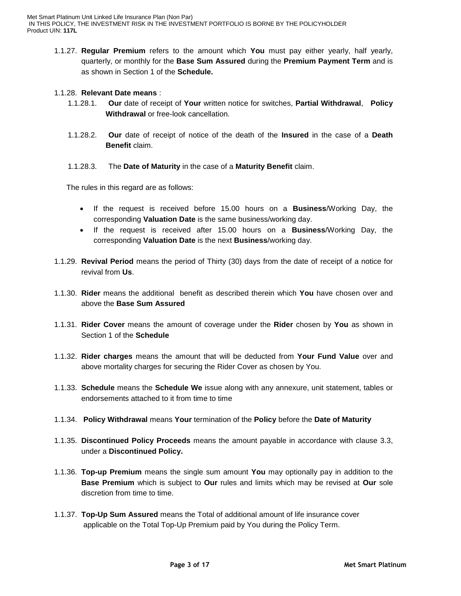1.1.27. **Regular Premium** refers to the amount which **You** must pay either yearly, half yearly, quarterly, or monthly for the **Base Sum Assured** during the **Premium Payment Term** and is as shown in Section 1 of the **Schedule.**

#### 1.1.28. **Relevant Date means** :

- 1.1.28.1. **Our** date of receipt of **Your** written notice for switches, **Partial Withdrawal**, **Policy Withdrawal** or free-look cancellation.
- 1.1.28.2. **Our** date of receipt of notice of the death of the **Insured** in the case of a **Death Benefit** claim.
- 1.1.28.3. The **Date of Maturity** in the case of a **Maturity Benefit** claim.

The rules in this regard are as follows:

- If the request is received before 15.00 hours on a **Business**/Working Day, the corresponding **Valuation Date** is the same business/working day.
- If the request is received after 15.00 hours on a **Business**/Working Day, the corresponding **Valuation Date** is the next **Business**/working day.
- 1.1.29. **Revival Period** means the period of Thirty (30) days from the date of receipt of a notice for revival from **Us**.
- 1.1.30. **Rider** means the additional benefit as described therein which **You** have chosen over and above the **Base Sum Assured**
- 1.1.31. **Rider Cover** means the amount of coverage under the **Rider** chosen by **You** as shown in Section 1 of the **Schedule**
- 1.1.32. **Rider charges** means the amount that will be deducted from **Your Fund Value** over and above mortality charges for securing the Rider Cover as chosen by You.
- 1.1.33. **Schedule** means the **Schedule We** issue along with any annexure, unit statement, tables or endorsements attached to it from time to time
- 1.1.34. **Policy Withdrawal** means **Your** termination of the **Policy** before the **Date of Maturity**
- 1.1.35. **Discontinued Policy Proceeds** means the amount payable in accordance with clause 3.3, under a **Discontinued Policy.**
- 1.1.36. **Top-up Premium** means the single sum amount **You** may optionally pay in addition to the **Base Premium** which is subject to **Our** rules and limits which may be revised at **Our** sole discretion from time to time.
- 1.1.37. **Top-Up Sum Assured** means the Total of additional amount of life insurance cover applicable on the Total Top-Up Premium paid by You during the Policy Term.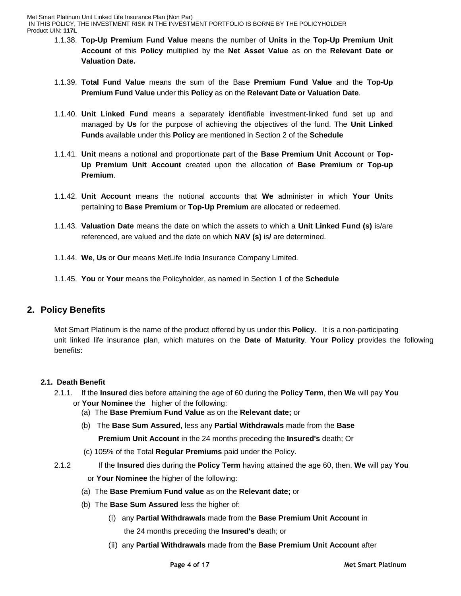- 1.1.38. **Top-Up Premium Fund Value** means the number of **Units** in the **Top-Up Premium Unit Account** of this **Policy** multiplied by the **Net Asset Value** as on the **Relevant Date or Valuation Date.**
- 1.1.39. **Total Fund Value** means the sum of the Base **Premium Fund Value** and the **Top-Up Premium Fund Value** under this **Policy** as on the **Relevant Date or Valuation Date**.
- 1.1.40. **Unit Linked Fund** means a separately identifiable investment-linked fund set up and managed by **Us** for the purpose of achieving the objectives of the fund. The **Unit Linked Funds** available under this **Policy** are mentioned in Section 2 of the **Schedule**
- 1.1.41. **Unit** means a notional and proportionate part of the **Base Premium Unit Account** or **Top-Up Premium Unit Account** created upon the allocation of **Base Premium** or **Top-up Premium**.
- 1.1.42. **Unit Account** means the notional accounts that **We** administer in which **Your Unit**s pertaining to **Base Premium** or **Top-Up Premium** are allocated or redeemed.
- 1.1.43. **Valuation Date** means the date on which the assets to which a **Unit Linked Fund (s)** is/are referenced, are valued and the date on which **NAV (s)** is**/** are determined.
- 1.1.44. **We**, **Us** or **Our** means MetLife India Insurance Company Limited.
- 1.1.45. **You** or **Your** means the Policyholder, as named in Section 1 of the **Schedule**

# **2. Policy Benefits**

Met Smart Platinum is the name of the product offered by us under this **Policy**. It is a non-participating unit linked life insurance plan, which matures on the **Date of Maturity**. **Your Policy** provides the following benefits:

## **2.1. Death Benefit**

- 2.1.1. If the **Insured** dies before attaining the age of 60 during the **Policy Term**, then **We** will pay **You** or **Your Nominee** the higher of the following:
	- (a) The **Base Premium Fund Value** as on the **Relevant date;** or
	- (b) The **Base Sum Assured,** less any **Partial Withdrawals** made from the **Base** 
		- **Premium Unit Account** in the 24 months preceding the **Insured's** death; Or
	- (c) 105% of the Total **Regular Premiums** paid under the Policy.
- 
- 2.1.2 If the **Insured** dies during the **Policy Term** having attained the age 60, then. **We** will pay **You** or **Your Nominee** the higher of the following:
	- (a) The **Base Premium Fund value** as on the **Relevant date;** or
	- (b) The **Base Sum Assured** less the higher of:
		- (i) any **Partial Withdrawals** made from the **Base Premium Unit Account** in

the 24 months preceding the **Insured's** death; or

(ii) any **Partial Withdrawals** made from the **Base Premium Unit Account** after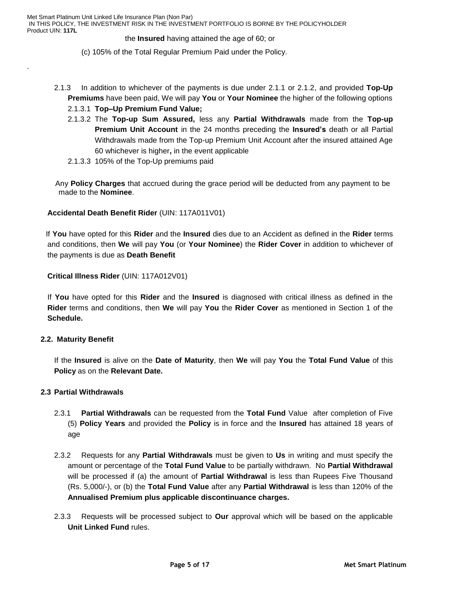#### the **Insured** having attained the age of 60; or

(c) 105% of the Total Regular Premium Paid under the Policy.

- 2.1.3 In addition to whichever of the payments is due under 2.1.1 or 2.1.2, and provided **Top-Up Premiums** have been paid, We will pay **You** or **Your Nominee** the higher of the following options
	- 2.1.3.1 **Top–Up Premium Fund Value;**
	- 2.1.3.2 The **Top-up Sum Assured,** less any **Partial Withdrawals** made from the **Top-up Premium Unit Account** in the 24 months preceding the **Insured's** death or all Partial Withdrawals made from the Top-up Premium Unit Account after the insured attained Age 60 whichever is higher**,** in the event applicable
	- 2.1.3.3 105% of the Top-Up premiums paid

 Any **Policy Charges** that accrued during the grace period will be deducted from any payment to be made to the **Nominee**.

### **Accidental Death Benefit Rider** (UIN: 117A011V01)

 If **You** have opted for this **Rider** and the **Insured** dies due to an Accident as defined in the **Rider** terms and conditions, then **We** will pay **You** (or **Your Nominee**) the **Rider Cover** in addition to whichever of the payments is due as **Death Benefit**

**Critical Illness Rider** (UIN: 117A012V01)

If **You** have opted for this **Rider** and the **Insured** is diagnosed with critical illness as defined in the **Rider** terms and conditions, then **We** will pay **You** the **Rider Cover** as mentioned in Section 1 of the **Schedule.**

#### **2.2. Maturity Benefit**

.

If the **Insured** is alive on the **Date of Maturity**, then **We** will pay **You** the **Total Fund Value** of this **Policy** as on the **Relevant Date.** 

## **2.3 Partial Withdrawals**

- 2.3.1 **Partial Withdrawals** can be requested from the **Total Fund** Value after completion of Five (5) **Policy Years** and provided the **Policy** is in force and the **Insured** has attained 18 years of age
- 2.3.2 Requests for any **Partial Withdrawals** must be given to **Us** in writing and must specify the amount or percentage of the **Total Fund Value** to be partially withdrawn. No **Partial Withdrawal** will be processed if (a) the amount of **Partial Withdrawal** is less than Rupees Five Thousand (Rs. 5,000/-), or (b) the **Total Fund Value** after any **Partial Withdrawal** is less than 120% of the **Annualised Premium plus applicable discontinuance charges.**
- 2.3.3 Requests will be processed subject to **Our** approval which will be based on the applicable **Unit Linked Fund** rules.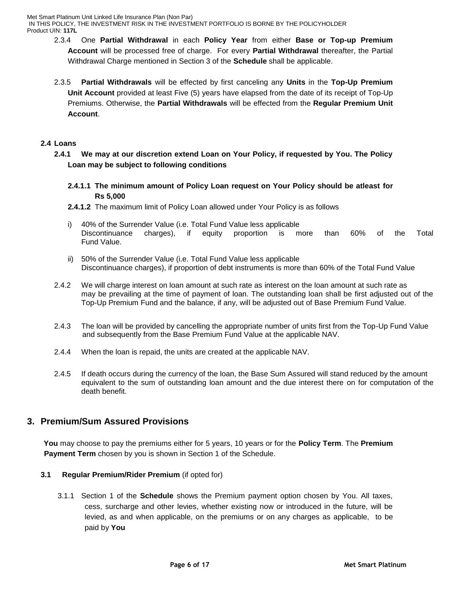- 2.3.4 One **Partial Withdrawal** in each **Policy Year** from either **Base or Top-up Premium Account** will be processed free of charge. For every **Partial Withdrawal** thereafter, the Partial Withdrawal Charge mentioned in Section 3 of the **Schedule** shall be applicable.
- 2.3.5 **Partial Withdrawals** will be effected by first canceling any **Units** in the **Top-Up Premium Unit Account** provided at least Five (5) years have elapsed from the date of its receipt of Top-Up Premiums. Otherwise, the **Partial Withdrawals** will be effected from the **Regular Premium Unit Account**.

#### **2.4 Loans**

- **2.4.1 We may at our discretion extend Loan on Your Policy, if requested by You. The Policy Loan may be subject to following conditions**
	- **2.4.1.1 The minimum amount of Policy Loan request on Your Policy should be atleast for Rs 5,000**
	- **2.4.1.2** The maximum limit of Policy Loan allowed under Your Policy is as follows
	- i) 40% of the Surrender Value (i.e. Total Fund Value less applicable Discontinuance charges), if equity proportion is more than 60% of the Total Fund Value.
	- ii) 50% of the Surrender Value (i.e. Total Fund Value less applicable Discontinuance charges), if proportion of debt instruments is more than 60% of the Total Fund Value
- 2.4.2 We will charge interest on loan amount at such rate as interest on the loan amount at such rate as may be prevailing at the time of payment of loan. The outstanding loan shall be first adjusted out of the Top-Up Premium Fund and the balance, if any, will be adjusted out of Base Premium Fund Value.
- 2.4.3 The loan will be provided by cancelling the appropriate number of units first from the Top-Up Fund Value and subsequently from the Base Premium Fund Value at the applicable NAV.
- 2.4.4 When the loan is repaid, the units are created at the applicable NAV.
- 2.4.5 If death occurs during the currency of the loan, the Base Sum Assured will stand reduced by the amount equivalent to the sum of outstanding loan amount and the due interest there on for computation of the death benefit.

# **3. Premium/Sum Assured Provisions**

 **You** may choose to pay the premiums either for 5 years, 10 years or for the **Policy Term**. The **Premium Payment Term** chosen by you is shown in Section 1 of the Schedule.

#### **3.1 Regular Premium/Rider Premium** (if opted for)

3.1.1 Section 1 of the **Schedule** shows the Premium payment option chosen by You. All taxes, cess, surcharge and other levies, whether existing now or introduced in the future, will be levied, as and when applicable, on the premiums or on any charges as applicable, to be paid by **You**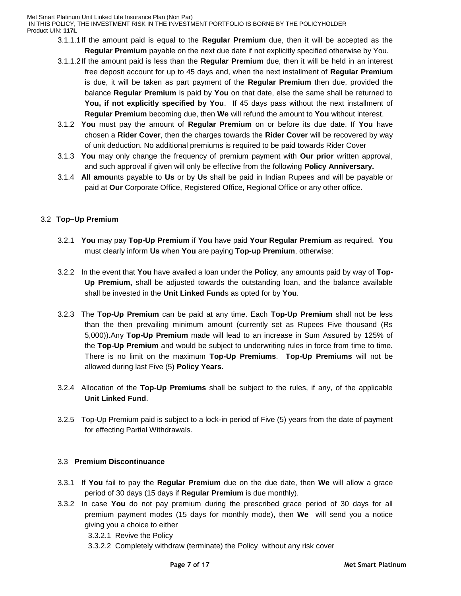- 3.1.1.1If the amount paid is equal to the **Regular Premium** due, then it will be accepted as the **Regular Premium** payable on the next due date if not explicitly specified otherwise by You.
- 3.1.1.2If the amount paid is less than the **Regular Premium** due, then it will be held in an interest free deposit account for up to 45 days and, when the next installment of **Regular Premium** is due, it will be taken as part payment of the **Regular Premium** then due, provided the balance **Regular Premium** is paid by **You** on that date, else the same shall be returned to **You, if not explicitly specified by You**. If 45 days pass without the next installment of **Regular Premium** becoming due, then **We** will refund the amount to **You** without interest.
- 3.1.2 **You** must pay the amount of **Regular Premium** on or before its due date. If **You** have chosen a **Rider Cover**, then the charges towards the **Rider Cover** will be recovered by way of unit deduction. No additional premiums is required to be paid towards Rider Cover
- 3.1.3 **You** may only change the frequency of premium payment with **Our prior** written approval, and such approval if given will only be effective from the following **Policy Anniversary.**
- 3.1.4 **All amou**nts payable to **Us** or by **Us** shall be paid in Indian Rupees and will be payable or paid at **Our** Corporate Office, Registered Office, Regional Office or any other office.

## 3.2 **Top–Up Premium**

- 3.2.1 **You** may pay **Top-Up Premium** if **You** have paid **Your Regular Premium** as required. **You** must clearly inform **Us** when **You** are paying **Top-up Premium**, otherwise:
- 3.2.2 In the event that **You** have availed a loan under the **Policy**, any amounts paid by way of **Top-Up Premium,** shall be adjusted towards the outstanding loan, and the balance available shall be invested in the **Unit Linked Fund**s as opted for by **You**.
- 3.2.3 The **Top-Up Premium** can be paid at any time. Each **Top-Up Premium** shall not be less than the then prevailing minimum amount (currently set as Rupees Five thousand (Rs 5,000)).Any **Top-Up Premium** made will lead to an increase in Sum Assured by 125% of the **Top-Up Premium** and would be subject to underwriting rules in force from time to time. There is no limit on the maximum **Top-Up Premiums**. **Top-Up Premiums** will not be allowed during last Five (5) **Policy Years.**
- 3.2.4 Allocation of the **Top-Up Premiums** shall be subject to the rules, if any, of the applicable **Unit Linked Fund**.
- 3.2.5 Top-Up Premium paid is subject to a lock-in period of Five (5) years from the date of payment for effecting Partial Withdrawals.

## 3.3 **Premium Discontinuance**

- 3.3.1 If **You** fail to pay the **Regular Premium** due on the due date, then **We** will allow a grace period of 30 days (15 days if **Regular Premium** is due monthly).
- 3.3.2 In case **You** do not pay premium during the prescribed grace period of 30 days for all premium payment modes (15 days for monthly mode), then **We** will send you a notice giving you a choice to either
	- 3.3.2.1 Revive the Policy
	- 3.3.2.2 Completely withdraw (terminate) the Policy without any risk cover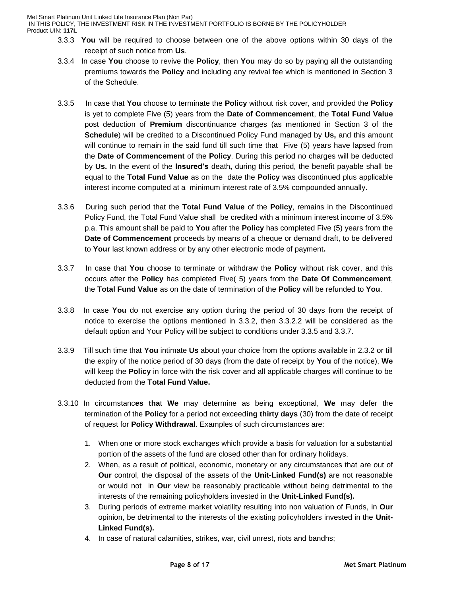IN THIS POLICY, THE INVESTMENT RISK IN THE INVESTMENT PORTFOLIO IS BORNE BY THE POLICYHOLDER Product UIN: **117L**

- 3.3.3 **You** will be required to choose between one of the above options within 30 days of the receipt of such notice from **Us**.
- 3.3.4 In case **You** choose to revive the **Policy**, then **You** may do so by paying all the outstanding premiums towards the **Policy** and including any revival fee which is mentioned in Section 3 of the Schedule.
- 3.3.5 In case that **You** choose to terminate the **Policy** without risk cover, and provided the **Policy** is yet to complete Five (5) years from the **Date of Commencement**, the **Total Fund Value** post deduction of **Premium** discontinuance charges (as mentioned in Section 3 of the **Schedule**) will be credited to a Discontinued Policy Fund managed by **Us,** and this amount will continue to remain in the said fund till such time that Five (5) years have lapsed from the **Date of Commencement** of the **Policy**. During this period no charges will be deducted by **Us.** In the event of the **Insured's** death**,** during this period, the benefit payable shall be equal to the **Total Fund Value** as on the date the **Policy** was discontinued plus applicable interest income computed at a minimum interest rate of 3.5% compounded annually.
- 3.3.6 During such period that the **Total Fund Value** of the **Policy**, remains in the Discontinued Policy Fund, the Total Fund Value shall be credited with a minimum interest income of 3.5% p.a. This amount shall be paid to **You** after the **Policy** has completed Five (5) years from the **Date of Commencement** proceeds by means of a cheque or demand draft, to be delivered to **Your** last known address or by any other electronic mode of payment**.**
- 3.3.7 In case that **You** choose to terminate or withdraw the **Policy** without risk cover, and this occurs after the **Policy** has completed Five( 5) years from the **Date Of Commencement**, the **Total Fund Value** as on the date of termination of the **Policy** will be refunded to **You**.
- 3.3.8 In case **You** do not exercise any option during the period of 30 days from the receipt of notice to exercise the options mentioned in 3.3.2, then 3.3.2.2 will be considered as the default option and Your Policy will be subject to conditions under 3.3.5 and 3.3.7.
- 3.3.9 Till such time that **You** intimate **Us** about your choice from the options available in 2.3.2 or till the expiry of the notice period of 30 days (from the date of receipt by **You** of the notice), **We** will keep the **Policy** in force with the risk cover and all applicable charges will continue to be deducted from the **Total Fund Value.**
- 3.3.10 In circumstanc**es tha**t **We** may determine as being exceptional, **We** may defer the termination of the **Policy** for a period not exceed**ing thirty days** (30) from the date of receipt of request for **Policy Withdrawal**. Examples of such circumstances are:
	- 1. When one or more stock exchanges which provide a basis for valuation for a substantial portion of the assets of the fund are closed other than for ordinary holidays.
	- 2. When, as a result of political, economic, monetary or any circumstances that are out of **Our** control, the disposal of the assets of the **Unit-Linked Fund(s)** are not reasonable or would not in **Our** view be reasonably practicable without being detrimental to the interests of the remaining policyholders invested in the **Unit-Linked Fund(s).**
	- 3. During periods of extreme market volatility resulting into non valuation of Funds, in **Our**  opinion, be detrimental to the interests of the existing policyholders invested in the **Unit-Linked Fund(s).**
	- 4. In case of natural calamities, strikes, war, civil unrest, riots and bandhs;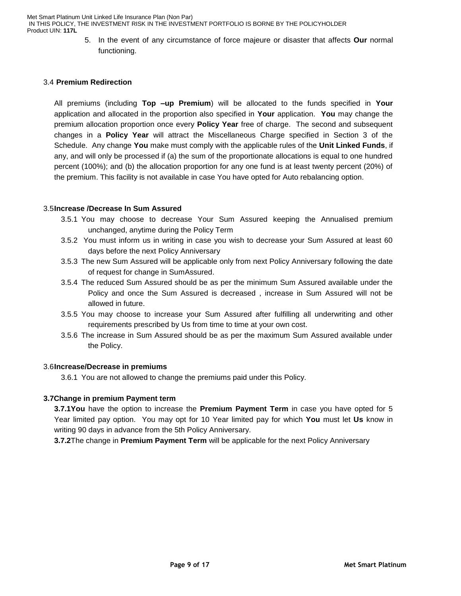> 5. In the event of any circumstance of force majeure or disaster that affects **Our** normal functioning.

#### 3.4 **Premium Redirection**

All premiums (including **Top –up Premium**) will be allocated to the funds specified in **Your**  application and allocated in the proportion also specified in **Your** application. **You** may change the premium allocation proportion once every **Policy Year** free of charge. The second and subsequent changes in a **Policy Year** will attract the Miscellaneous Charge specified in Section 3 of the Schedule. Any change **You** make must comply with the applicable rules of the **Unit Linked Funds**, if any, and will only be processed if (a) the sum of the proportionate allocations is equal to one hundred percent (100%); and (b) the allocation proportion for any one fund is at least twenty percent (20%) of the premium. This facility is not available in case You have opted for Auto rebalancing option.

#### 3.5**Increase /Decrease In Sum Assured**

- 3.5.1 You may choose to decrease Your Sum Assured keeping the Annualised premium unchanged, anytime during the Policy Term
- 3.5.2 You must inform us in writing in case you wish to decrease your Sum Assured at least 60 days before the next Policy Anniversary
- 3.5.3 The new Sum Assured will be applicable only from next Policy Anniversary following the date of request for change in SumAssured.
- 3.5.4 The reduced Sum Assured should be as per the minimum Sum Assured available under the Policy and once the Sum Assured is decreased , increase in Sum Assured will not be allowed in future.
- 3.5.5 You may choose to increase your Sum Assured after fulfilling all underwriting and other requirements prescribed by Us from time to time at your own cost.
- 3.5.6 The increase in Sum Assured should be as per the maximum Sum Assured available under the Policy.

#### 3.6**Increase/Decrease in premiums**

3.6.1 You are not allowed to change the premiums paid under this Policy.

#### **3.7Change in premium Payment term**

**3.7.1You** have the option to increase the **Premium Payment Term** in case you have opted for 5 Year limited pay option. You may opt for 10 Year limited pay for which **You** must let **Us** know in writing 90 days in advance from the 5th Policy Anniversary.

**3.7.2**The change in **Premium Payment Term** will be applicable for the next Policy Anniversary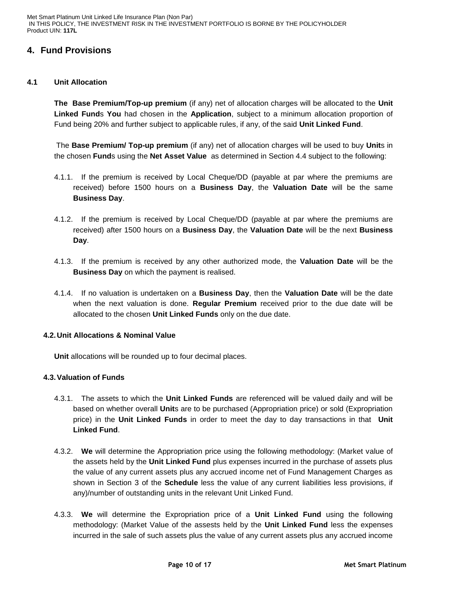# **4. Fund Provisions**

#### **4.1 Unit Allocation**

**The Base Premium/Top-up premium** (if any) net of allocation charges will be allocated to the **Unit Linked Fund**s **You** had chosen in the **Application**, subject to a minimum allocation proportion of Fund being 20% and further subject to applicable rules, if any, of the said **Unit Linked Fund**.

The **Base Premium/ Top-up premium** (if any) net of allocation charges will be used to buy **Unit**s in the chosen **Fund**s using the **Net Asset Value** as determined in Section 4.4 subject to the following:

- 4.1.1. If the premium is received by Local Cheque/DD (payable at par where the premiums are received) before 1500 hours on a **Business Day**, the **Valuation Date** will be the same **Business Day**.
- 4.1.2. If the premium is received by Local Cheque/DD (payable at par where the premiums are received) after 1500 hours on a **Business Day**, the **Valuation Date** will be the next **Business Day**.
- 4.1.3. If the premium is received by any other authorized mode, the **Valuation Date** will be the **Business Day** on which the payment is realised.
- 4.1.4. If no valuation is undertaken on a **Business Day**, then the **Valuation Date** will be the date when the next valuation is done. **Regular Premium** received prior to the due date will be allocated to the chosen **Unit Linked Funds** only on the due date.

## **4.2. Unit Allocations & Nominal Value**

**Unit** allocations will be rounded up to four decimal places.

## **4.3.Valuation of Funds**

- 4.3.1. The assets to which the **Unit Linked Funds** are referenced will be valued daily and will be based on whether overall **Unit**s are to be purchased (Appropriation price) or sold (Expropriation price) in the **Unit Linked Funds** in order to meet the day to day transactions in that **Unit Linked Fund**.
- 4.3.2. **We** will determine the Appropriation price using the following methodology: (Market value of the assets held by the **Unit Linked Fund** plus expenses incurred in the purchase of assets plus the value of any current assets plus any accrued income net of Fund Management Charges as shown in Section 3 of the **Schedule** less the value of any current liabilities less provisions, if any)/number of outstanding units in the relevant Unit Linked Fund.
- 4.3.3. **We** will determine the Expropriation price of a **Unit Linked Fund** using the following methodology: (Market Value of the assests held by the **Unit Linked Fund** less the expenses incurred in the sale of such assets plus the value of any current assets plus any accrued income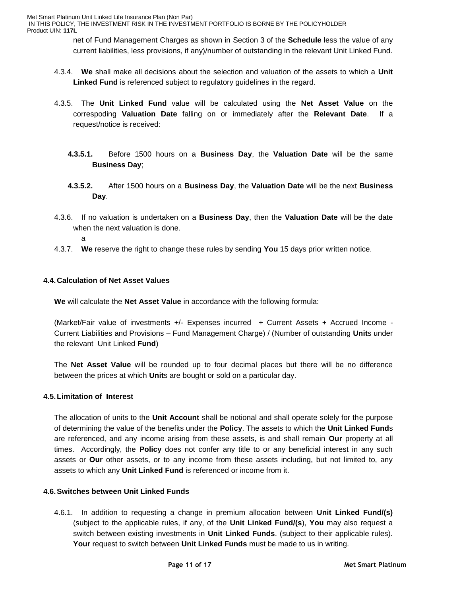net of Fund Management Charges as shown in Section 3 of the **Schedule** less the value of any current liabilities, less provisions, if any)/number of outstanding in the relevant Unit Linked Fund.

- 4.3.4. **We** shall make all decisions about the selection and valuation of the assets to which a **Unit Linked Fund** is referenced subject to regulatory guidelines in the regard.
- 4.3.5. The **Unit Linked Fund** value will be calculated using the **Net Asset Value** on the correspoding **Valuation Date** falling on or immediately after the **Relevant Date**. If a request/notice is received:
	- **4.3.5.1.** Before 1500 hours on a **Business Day**, the **Valuation Date** will be the same **Business Day**;
	- **4.3.5.2.** After 1500 hours on a **Business Day**, the **Valuation Date** will be the next **Business Day**.
- 4.3.6. If no valuation is undertaken on a **Business Day**, then the **Valuation Date** will be the date when the next valuation is done.
	- a
- 4.3.7. **We** reserve the right to change these rules by sending **You** 15 days prior written notice.

### **4.4. Calculation of Net Asset Values**

**We** will calculate the **Net Asset Value** in accordance with the following formula:

(Market/Fair value of investments +/- Expenses incurred + Current Assets + Accrued Income - Current Liabilities and Provisions – Fund Management Charge) / (Number of outstanding **Unit**s under the relevant Unit Linked **Fund**)

The **Net Asset Value** will be rounded up to four decimal places but there will be no difference between the prices at which **Unit**s are bought or sold on a particular day.

#### **4.5.Limitation of Interest**

The allocation of units to the **Unit Account** shall be notional and shall operate solely for the purpose of determining the value of the benefits under the **Policy**. The assets to which the **Unit Linked Fund**s are referenced, and any income arising from these assets, is and shall remain **Our** property at all times. Accordingly, the **Policy** does not confer any title to or any beneficial interest in any such assets or **Our** other assets, or to any income from these assets including, but not limited to, any assets to which any **Unit Linked Fund** is referenced or income from it.

#### **4.6.Switches between Unit Linked Funds**

4.6.1. In addition to requesting a change in premium allocation between **Unit Linked Fund/(s)** (subject to the applicable rules, if any, of the **Unit Linked Fund/(s**), **You** may also request a switch between existing investments in **Unit Linked Funds**. (subject to their applicable rules). **Your** request to switch between **Unit Linked Funds** must be made to us in writing.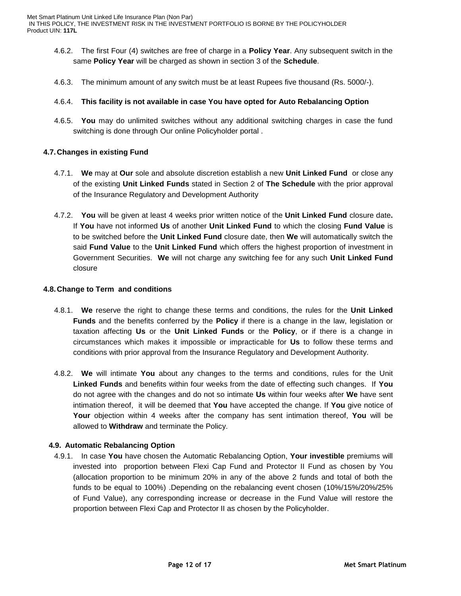- 4.6.2. The first Four (4) switches are free of charge in a **Policy Year**. Any subsequent switch in the same **Policy Year** will be charged as shown in section 3 of the **Schedule**.
- 4.6.3. The minimum amount of any switch must be at least Rupees five thousand (Rs. 5000/-).

### 4.6.4. **This facility is not available in case You have opted for Auto Rebalancing Option**

4.6.5. **You** may do unlimited switches without any additional switching charges in case the fund switching is done through Our online Policyholder portal .

### **4.7. Changes in existing Fund**

- 4.7.1. **We** may at **Our** sole and absolute discretion establish a new **Unit Linked Fund** or close any of the existing **Unit Linked Funds** stated in Section 2 of **The Schedule** with the prior approval of the Insurance Regulatory and Development Authority
- 4.7.2. **You** will be given at least 4 weeks prior written notice of the **Unit Linked Fund** closure date**.**  If **You** have not informed **Us** of another **Unit Linked Fund** to which the closing **Fund Value** is to be switched before the **Unit Linked Fund** closure date, then **We** will automatically switch the said **Fund Value** to the **Unit Linked Fund** which offers the highest proportion of investment in Government Securities. **We** will not charge any switching fee for any such **Unit Linked Fund** closure

#### **4.8. Change to Term and conditions**

- 4.8.1. **We** reserve the right to change these terms and conditions, the rules for the **Unit Linked Funds** and the benefits conferred by the **Policy** if there is a change in the law, legislation or taxation affecting **Us** or the **Unit Linked Funds** or the **Policy**, or if there is a change in circumstances which makes it impossible or impracticable for **Us** to follow these terms and conditions with prior approval from the Insurance Regulatory and Development Authority.
- 4.8.2. **We** will intimate **You** about any changes to the terms and conditions, rules for the Unit **Linked Funds** and benefits within four weeks from the date of effecting such changes. If **You** do not agree with the changes and do not so intimate **Us** within four weeks after **We** have sent intimation thereof, it will be deemed that **You** have accepted the change. If **You** give notice of **Your** objection within 4 weeks after the company has sent intimation thereof, **You** will be allowed to **Withdraw** and terminate the Policy.

## **4.9. Automatic Rebalancing Option**

4.9.1. In case **You** have chosen the Automatic Rebalancing Option, **Your investible** premiums will invested into proportion between Flexi Cap Fund and Protector II Fund as chosen by You (allocation proportion to be minimum 20% in any of the above 2 funds and total of both the funds to be equal to 100%) .Depending on the rebalancing event chosen (10%/15%/20%/25% of Fund Value), any corresponding increase or decrease in the Fund Value will restore the proportion between Flexi Cap and Protector II as chosen by the Policyholder.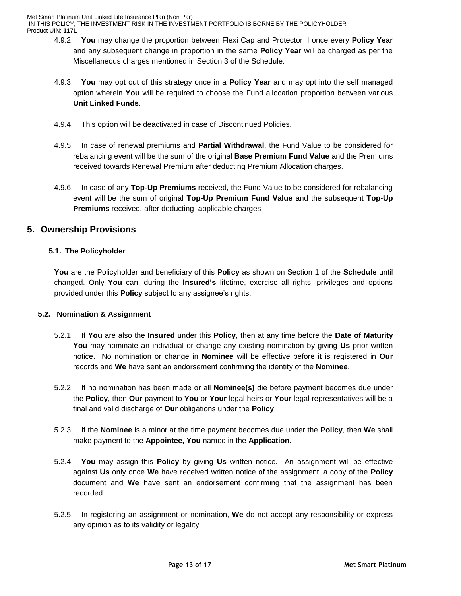IN THIS POLICY, THE INVESTMENT RISK IN THE INVESTMENT PORTFOLIO IS BORNE BY THE POLICYHOLDER Product UIN: **117L**

- 4.9.2. **You** may change the proportion between Flexi Cap and Protector II once every **Policy Year**  and any subsequent change in proportion in the same **Policy Year** will be charged as per the Miscellaneous charges mentioned in Section 3 of the Schedule.
- 4.9.3. **You** may opt out of this strategy once in a **Policy Year** and may opt into the self managed option wherein **You** will be required to choose the Fund allocation proportion between various **Unit Linked Funds**.
- 4.9.4. This option will be deactivated in case of Discontinued Policies.
- 4.9.5. In case of renewal premiums and **Partial Withdrawal**, the Fund Value to be considered for rebalancing event will be the sum of the original **Base Premium Fund Value** and the Premiums received towards Renewal Premium after deducting Premium Allocation charges.
- 4.9.6. In case of any **Top-Up Premiums** received, the Fund Value to be considered for rebalancing event will be the sum of original **Top-Up Premium Fund Value** and the subsequent **Top-Up Premiums** received, after deducting applicable charges

# **5. Ownership Provisions**

## **5.1. The Policyholder**

**You** are the Policyholder and beneficiary of this **Policy** as shown on Section 1 of the **Schedule** until changed. Only **You** can, during the **Insured's** lifetime, exercise all rights, privileges and options provided under this **Policy** subject to any assignee's rights.

## **5.2. Nomination & Assignment**

- 5.2.1. If **You** are also the **Insured** under this **Policy**, then at any time before the **Date of Maturity You** may nominate an individual or change any existing nomination by giving **Us** prior written notice. No nomination or change in **Nominee** will be effective before it is registered in **Our** records and **We** have sent an endorsement confirming the identity of the **Nominee**.
- 5.2.2. If no nomination has been made or all **Nominee(s)** die before payment becomes due under the **Policy**, then **Our** payment to **You** or **Your** legal heirs or **Your** legal representatives will be a final and valid discharge of **Our** obligations under the **Policy**.
- 5.2.3. If the **Nominee** is a minor at the time payment becomes due under the **Policy**, then **We** shall make payment to the **Appointee, You** named in the **Application**.
- 5.2.4. **You** may assign this **Policy** by giving **Us** written notice. An assignment will be effective against **Us** only once **We** have received written notice of the assignment, a copy of the **Policy** document and **We** have sent an endorsement confirming that the assignment has been recorded.
- 5.2.5. In registering an assignment or nomination, **We** do not accept any responsibility or express any opinion as to its validity or legality.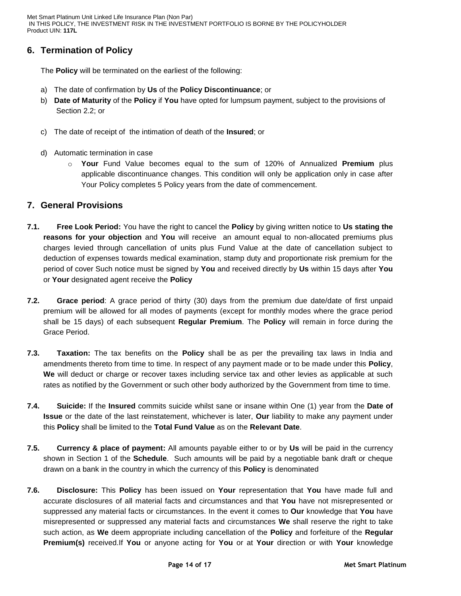# **6. Termination of Policy**

The **Policy** will be terminated on the earliest of the following:

- a) The date of confirmation by **Us** of the **Policy Discontinuance**; or
- b) **Date of Maturity** of the **Policy** if **You** have opted for lumpsum payment, subject to the provisions of Section 2.2; or
- c) The date of receipt of the intimation of death of the **Insured**; or
- d) Automatic termination in case
	- o **Your** Fund Value becomes equal to the sum of 120% of Annualized **Premium** plus applicable discontinuance changes. This condition will only be application only in case after Your Policy completes 5 Policy years from the date of commencement.

## **7. General Provisions**

- **7.1. Free Look Period:** You have the right to cancel the **Policy** by giving written notice to **Us stating the reasons for your objection** and **You** will receive an amount equal to non-allocated premiums plus charges levied through cancellation of units plus Fund Value at the date of cancellation subject to deduction of expenses towards medical examination, stamp duty and proportionate risk premium for the period of cover Such notice must be signed by **You** and received directly by **Us** within 15 days after **You** or **Your** designated agent receive the **Policy**
- **7.2. Grace period**: A grace period of thirty (30) days from the premium due date/date of first unpaid premium will be allowed for all modes of payments (except for monthly modes where the grace period shall be 15 days) of each subsequent **Regular Premium**. The **Policy** will remain in force during the Grace Period.
- **7.3. Taxation:** The tax benefits on the **Policy** shall be as per the prevailing tax laws in India and amendments thereto from time to time. In respect of any payment made or to be made under this **Policy**, **We** will deduct or charge or recover taxes including service tax and other levies as applicable at such rates as notified by the Government or such other body authorized by the Government from time to time.
- **7.4. Suicide:** If the **Insured** commits suicide whilst sane or insane within One (1) year from the **Date of Issue** or the date of the last reinstatement, whichever is later, **Our** liability to make any payment under this **Policy** shall be limited to the **Total Fund Value** as on the **Relevant Date**.
- **7.5. Currency & place of payment:** All amounts payable either to or by **Us** will be paid in the currency shown in Section 1 of the **Schedule**. Such amounts will be paid by a negotiable bank draft or cheque drawn on a bank in the country in which the currency of this **Policy** is denominated
- **7.6. Disclosure:** This **Policy** has been issued on **Your** representation that **You** have made full and accurate disclosures of all material facts and circumstances and that **You** have not misrepresented or suppressed any material facts or circumstances. In the event it comes to **Our** knowledge that **You** have misrepresented or suppressed any material facts and circumstances **We** shall reserve the right to take such action, as **We** deem appropriate including cancellation of the **Policy** and forfeiture of the **Regular Premium(s)** received.If **You** or anyone acting for **You** or at **Your** direction or with **Your** knowledge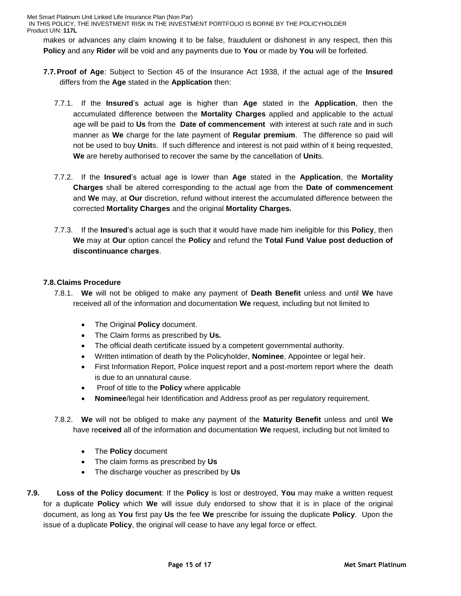IN THIS POLICY, THE INVESTMENT RISK IN THE INVESTMENT PORTFOLIO IS BORNE BY THE POLICYHOLDER Product UIN: **117L**

makes or advances any claim knowing it to be false, fraudulent or dishonest in any respect, then this **Policy** and any **Rider** will be void and any payments due to **You** or made by **You** will be forfeited.

- **7.7.Proof of Age**: Subject to Section 45 of the Insurance Act 1938, if the actual age of the **Insured** differs from the **Age** stated in the **Application** then:
	- 7.7.1. If the **Insured**'s actual age is higher than **Age** stated in the **Application**, then the accumulated difference between the **Mortality Charges** applied and applicable to the actual age will be paid to **Us** from the **Date of commencement** with interest at such rate and in such manner as **We** charge for the late payment of **Regular premium**. The difference so paid will not be used to buy **Unit**s. If such difference and interest is not paid within of it being requested, **We** are hereby authorised to recover the same by the cancellation of **Unit**s.
	- 7.7.2. If the **Insured**'s actual age is lower than **Age** stated in the **Application**, the **Mortality Charges** shall be altered corresponding to the actual age from the **Date of commencement**  and **We** may, at **Our** discretion, refund without interest the accumulated difference between the corrected **Mortality Charges** and the original **Mortality Charges.**
	- 7.7.3. If the **Insured**'s actual age is such that it would have made him ineligible for this **Policy**, then **We** may at **Our** option cancel the **Policy** and refund the **Total Fund Value post deduction of discontinuance charges**.

### **7.8. Claims Procedure**

- 7.8.1. **We** will not be obliged to make any payment of **Death Benefit** unless and until **We** have received all of the information and documentation **We** request, including but not limited to
	- The Original **Policy** document.
	- The Claim forms as prescribed by **Us.**
	- The official death certificate issued by a competent governmental authority.
	- Written intimation of death by the Policyholder, **Nominee**, Appointee or legal heir.
	- First Information Report, Police inquest report and a post-mortem report where the death is due to an unnatural cause.
	- Proof of title to the **Policy** where applicable
	- **Nominee**/legal heir Identification and Address proof as per regulatory requirement.
- 7.8.2. **We** will not be obliged to make any payment of the **Maturity Benefit** unless and until **We** have re**ceived** all of the information and documentation **We** request, including but not limited to
	- The **Policy** document
	- The claim forms as prescribed by **Us**
	- The discharge voucher as prescribed by **Us**
- **7.9. Loss of the Policy document**: If the **Policy** is lost or destroyed, **You** may make a written request for a duplicate **Policy** which **We** will issue duly endorsed to show that it is in place of the original document, as long as **You** first pay **Us** the fee **We** prescribe for issuing the duplicate **Policy**. Upon the issue of a duplicate **Policy**, the original will cease to have any legal force or effect.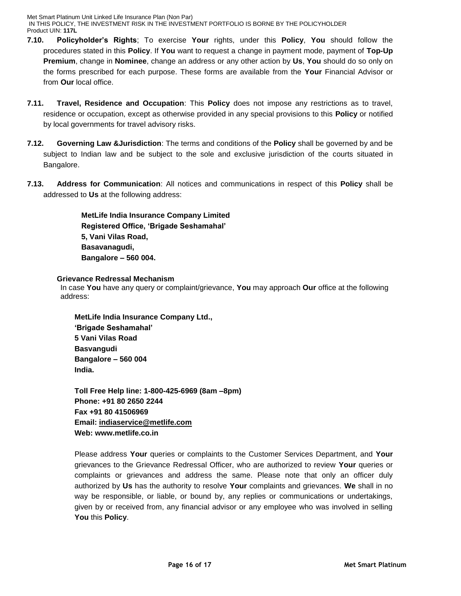IN THIS POLICY, THE INVESTMENT RISK IN THE INVESTMENT PORTFOLIO IS BORNE BY THE POLICYHOLDER Product UIN: **117L**

- **7.10. Policyholder's Rights**; To exercise **Your** rights, under this **Policy**, **You** should follow the procedures stated in this **Policy**. If **You** want to request a change in payment mode, payment of **Top-Up Premium**, change in **Nominee**, change an address or any other action by **Us**, **You** should do so only on the forms prescribed for each purpose. These forms are available from the **Your** Financial Advisor or from **Our** local office.
- **7.11. Travel, Residence and Occupation**: This **Policy** does not impose any restrictions as to travel, residence or occupation, except as otherwise provided in any special provisions to this **Policy** or notified by local governments for travel advisory risks.
- **7.12. Governing Law &Jurisdiction**: The terms and conditions of the **Policy** shall be governed by and be subject to Indian law and be subject to the sole and exclusive jurisdiction of the courts situated in Bangalore.
- **7.13. Address for Communication**: All notices and communications in respect of this **Policy** shall be addressed to **Us** at the following address:

**MetLife India Insurance Company Limited Registered Office, 'Brigade Seshamahal' 5, Vani Vilas Road, Basavanagudi, Bangalore – 560 004.**

## **7.14. Grievance Redressal Mechanism**

 In case **You** have any query or complaint/grievance, **You** may approach **Our** office at the following address:

**MetLife India Insurance Company Ltd., 'Brigade Seshamahal' 5 Vani Vilas Road Basvangudi Bangalore – 560 004 India.** 

**Toll Free Help line: 1-800-425-6969 (8am –8pm) Phone: +91 80 2650 2244 Fax +91 80 41506969 Email: [indiaservice@metlife.com](mailto:indiaservice@metlife.com) Web: www.metlife.co.in** 

Please address **Your** queries or complaints to the Customer Services Department, and **Your** grievances to the Grievance Redressal Officer, who are authorized to review **Your** queries or complaints or grievances and address the same. Please note that only an officer duly authorized by **Us** has the authority to resolve **Your** complaints and grievances. **We** shall in no way be responsible, or liable, or bound by, any replies or communications or undertakings, given by or received from, any financial advisor or any employee who was involved in selling **You** this **Policy**.